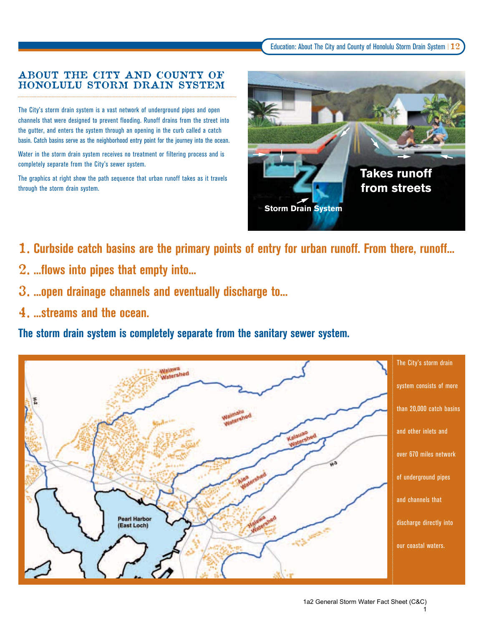## ABOUT THE CITY AND COUNTY OF HONOLULU STORM DRAIN SYSTEM

The City's storm drain system is a vast network of underground pipes and open channels that were designed to prevent flooding. Runoff drains from the street into the gutter, and enters the system through an opening in the curb called a catch basin. Catch basins serve as the neighborhood entry point for the journey into the ocean.

Water in the storm drain system receives no treatment or filtering process and is completely separate from the City's sewer system.

The graphics at right show the path sequence that urban runoff takes as it travels through the storm drain system.



- 1. **Curbside catch basins are the primary points of entry for urban runoff. From there, runoff...**
- 2. **...flows into pipes that empty into...**
- 3. **...open drainage channels and eventually discharge to...**
- 4. **...streams and the ocean.**

**The storm drain system is completely separate from the sanitary sewer system.**